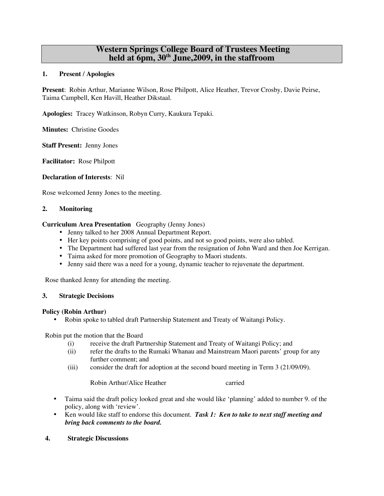## **Western Springs College Board of Trustees Meeting held at 6pm, 30th June,2009, in the staffroom**

#### **1. Present / Apologies**

**Present**: Robin Arthur, Marianne Wilson, Rose Philpott, Alice Heather, Trevor Crosby, Davie Peirse, Taima Campbell, Ken Havill, Heather Dikstaal.

**Apologies:** Tracey Watkinson, Robyn Curry, Kaukura Tepaki.

**Minutes:** Christine Goodes

**Staff Present:** Jenny Jones

**Facilitator:** Rose Philpott

#### **Declaration of Interests**: Nil

Rose welcomed Jenny Jones to the meeting.

#### **2. Monitoring**

#### **Curriculum Area Presentation** Geography (Jenny Jones)

- Jenny talked to her 2008 Annual Department Report.
- Her key points comprising of good points, and not so good points, were also tabled.
- The Department had suffered last year from the resignation of John Ward and then Joe Kerrigan.
- Taima asked for more promotion of Geography to Maori students.
- Jenny said there was a need for a young, dynamic teacher to rejuvenate the department.

Rose thanked Jenny for attending the meeting.

#### **3. Strategic Decisions**

#### **Policy (Robin Arthur)**

• Robin spoke to tabled draft Partnership Statement and Treaty of Waitangi Policy.

Robin put the motion that the Board

- (i) receive the draft Partnership Statement and Treaty of Waitangi Policy; and
- (ii) refer the drafts to the Rumaki Whanau and Mainstream Maori parents' group for any further comment; and
- (iii) consider the draft for adoption at the second board meeting in Term 3 (21/09/09).

Robin Arthur/Alice Heather carried

- Taima said the draft policy looked great and she would like 'planning' added to number 9. of the policy, along with 'review'.
- Ken would like staff to endorse this document. *Task 1: Ken to take to next staff meeting and bring back comments to the board.*

#### **4. Strategic Discussions**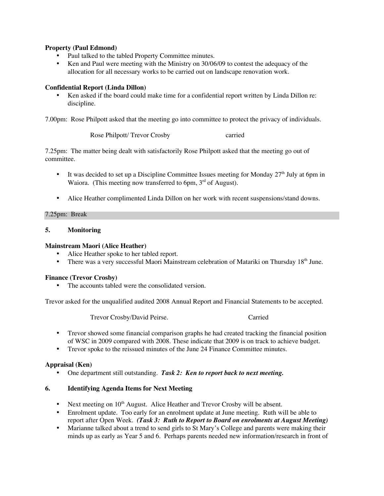## **Property (Paul Edmond)**

- Paul talked to the tabled Property Committee minutes.
- Ken and Paul were meeting with the Ministry on 30/06/09 to contest the adequacy of the allocation for all necessary works to be carried out on landscape renovation work.

## **Confidential Report (Linda Dillon)**

• Ken asked if the board could make time for a confidential report written by Linda Dillon re: discipline.

7.00pm: Rose Philpott asked that the meeting go into committee to protect the privacy of individuals.

Rose Philpott/ Trevor Crosby carried

7.25pm: The matter being dealt with satisfactorily Rose Philpott asked that the meeting go out of committee.

- It was decided to set up a Discipline Committee Issues meeting for Monday  $27<sup>th</sup>$  July at 6pm in Waiora. (This meeting now transferred to 6pm,  $3<sup>rd</sup>$  of August).
- Alice Heather complimented Linda Dillon on her work with recent suspensions/stand downs.

## 7.25pm: Break

## **5. Monitoring**

## **Mainstream Maori (Alice Heather)**

- Alice Heather spoke to her tabled report.
- There was a very successful Maori Mainstream celebration of Matariki on Thursday 18<sup>th</sup> June.

## **Finance (Trevor Crosby)**

• The accounts tabled were the consolidated version.

Trevor asked for the unqualified audited 2008 Annual Report and Financial Statements to be accepted.

Trevor Crosby/David Peirse. Carried

- Trevor showed some financial comparison graphs he had created tracking the financial position of WSC in 2009 compared with 2008. These indicate that 2009 is on track to achieve budget.
- Trevor spoke to the reissued minutes of the June 24 Finance Committee minutes.

## **Appraisal (Ken)**

• One department still outstanding. *Task 2: Ken to report back to next meeting.*

## **6. Identifying Agenda Items for Next Meeting**

- Next meeting on  $10<sup>th</sup>$  August. Alice Heather and Trevor Crosby will be absent.
- Enrolment update. Too early for an enrolment update at June meeting. Ruth will be able to report after Open Week. *(Task 3: Ruth to Report to Board on enrolments at August Meeting)*
- Marianne talked about a trend to send girls to St Mary's College and parents were making their minds up as early as Year 5 and 6. Perhaps parents needed new information/research in front of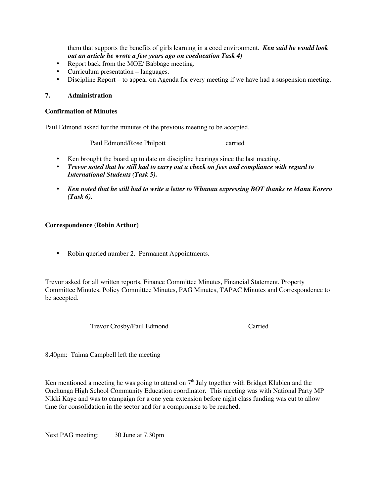them that supports the benefits of girls learning in a coed environment. *Ken said he would look out an article he wrote a few years ago on coeducation Task 4)*

- Report back from the MOE/ Babbage meeting.
- Curriculum presentation languages.
- Discipline Report to appear on Agenda for every meeting if we have had a suspension meeting.

## **7. Administration**

#### **Confirmation of Minutes**

Paul Edmond asked for the minutes of the previous meeting to be accepted.

Paul Edmond/Rose Philpott carried

- Ken brought the board up to date on discipline hearings since the last meeting.
- *Trevor noted that he still had to carry out a check on fees and compliance with regard to International Students (Task 5).*
- *Ken noted that he still had to write a letter to Whanau expressing BOT thanks re Manu Korero (Task 6).*

## **Correspondence (Robin Arthur)**

• Robin queried number 2. Permanent Appointments.

Trevor asked for all written reports, Finance Committee Minutes, Financial Statement, Property Committee Minutes, Policy Committee Minutes, PAG Minutes, TAPAC Minutes and Correspondence to be accepted.

Trevor Crosby/Paul Edmond Carried

8.40pm: Taima Campbell left the meeting

Ken mentioned a meeting he was going to attend on  $7<sup>th</sup>$  July together with Bridget Klubien and the Onehunga High School Community Education coordinator. This meeting was with National Party MP Nikki Kaye and was to campaign for a one year extension before night class funding was cut to allow time for consolidation in the sector and for a compromise to be reached.

Next PAG meeting: 30 June at 7.30pm